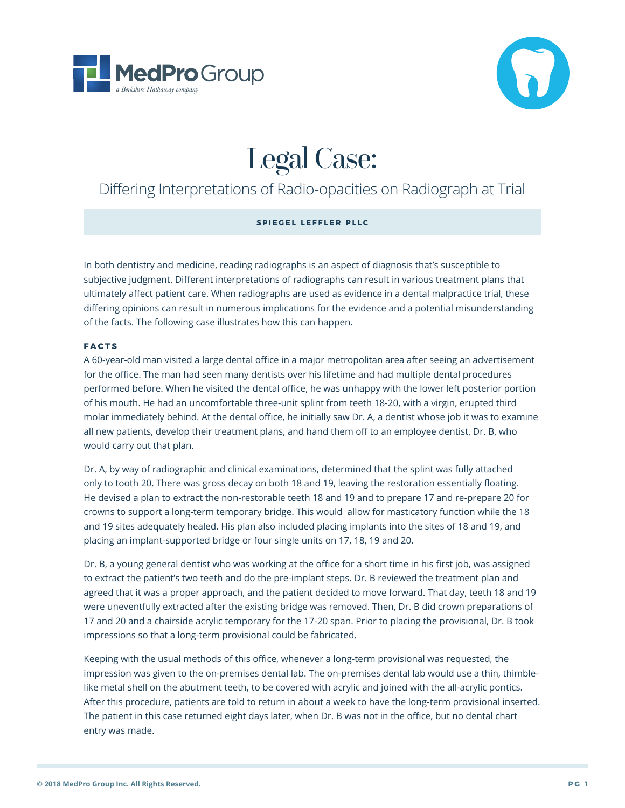



# Legal Case:

# Differing Interpretations of Radio-opacities on Radiograph at Trial

# **SPIEGEL LEFFLER PLLC**

In both dentistry and medicine, reading radiographs is an aspect of diagnosis that's susceptible to subjective judgment. Different interpretations of radiographs can result in various treatment plans that ultimately affect patient care. When radiographs are used as evidence in a dental malpractice trial, these differing opinions can result in numerous implications for the evidence and a potential misunderstanding of the facts. The following case illustrates how this can happen.

# **FACTS**

A 60-year-old man visited a large dental office in a major metropolitan area after seeing an advertisement for the office. The man had seen many dentists over his lifetime and had multiple dental procedures performed before. When he visited the dental office, he was unhappy with the lower left posterior portion of his mouth. He had an uncomfortable three-unit splint from teeth 18-20, with a virgin, erupted third molar immediately behind. At the dental office, he initially saw Dr. A, a dentist whose job it was to examine all new patients, develop their treatment plans, and hand them off to an employee dentist, Dr. B, who would carry out that plan.

Dr. A, by way of radiographic and clinical examinations, determined that the splint was fully attached only to tooth 20. There was gross decay on both 18 and 19, leaving the restoration essentially floating. He devised a plan to extract the non-restorable teeth 18 and 19 and to prepare 17 and re-prepare 20 for crowns to support a long-term temporary bridge. This would allow for masticatory function while the 18 and 19 sites adequately healed. His plan also included placing implants into the sites of 18 and 19, and placing an implant-supported bridge or four single units on 17, 18, 19 and 20.

Dr. B, a young general dentist who was working at the office for a short time in his first job, was assigned to extract the patient's two teeth and do the pre-implant steps. Dr. B reviewed the treatment plan and agreed that it was a proper approach, and the patient decided to move forward. That day, teeth 18 and 19 were uneventfully extracted after the existing bridge was removed. Then, Dr. B did crown preparations of 17 and 20 and a chairside acrylic temporary for the 17-20 span. Prior to placing the provisional, Dr. B took impressions so that a long-term provisional could be fabricated.

Keeping with the usual methods of this office, whenever a long-term provisional was requested, the impression was given to the on-premises dental lab. The on-premises dental lab would use a thin, thimblelike metal shell on the abutment teeth, to be covered with acrylic and joined with the all-acrylic pontics. After this procedure, patients are told to return in about a week to have the long-term provisional inserted. The patient in this case returned eight days later, when Dr. B was not in the office, but no dental chart entry was made.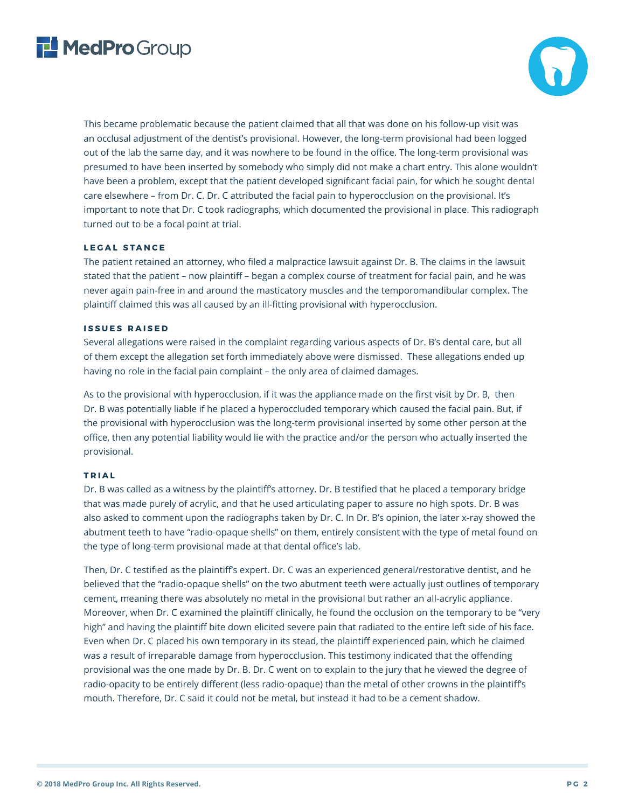



This became problematic because the patient claimed that all that was done on his follow-up visit was an occlusal adjustment of the dentist's provisional. However, the long-term provisional had been logged out of the lab the same day, and it was nowhere to be found in the office. The long-term provisional was presumed to have been inserted by somebody who simply did not make a chart entry. This alone wouldn't have been a problem, except that the patient developed significant facial pain, for which he sought dental care elsewhere – from Dr. C. Dr. C attributed the facial pain to hyperocclusion on the provisional. It's important to note that Dr. C took radiographs, which documented the provisional in place. This radiograph turned out to be a focal point at trial.

# **LEGAL STANCE**

The patient retained an attorney, who filed a malpractice lawsuit against Dr. B. The claims in the lawsuit stated that the patient – now plaintiff – began a complex course of treatment for facial pain, and he was never again pain-free in and around the masticatory muscles and the temporomandibular complex. The plaintiff claimed this was all caused by an ill-fitting provisional with hyperocclusion.

#### **ISSUES RAISED**

Several allegations were raised in the complaint regarding various aspects of Dr. B's dental care, but all of them except the allegation set forth immediately above were dismissed. These allegations ended up having no role in the facial pain complaint – the only area of claimed damages.

As to the provisional with hyperocclusion, if it was the appliance made on the first visit by Dr. B, then Dr. B was potentially liable if he placed a hyperoccluded temporary which caused the facial pain. But, if the provisional with hyperocclusion was the long-term provisional inserted by some other person at the office, then any potential liability would lie with the practice and/or the person who actually inserted the provisional.

#### **TRIAL**

Dr. B was called as a witness by the plaintiff's attorney. Dr. B testified that he placed a temporary bridge that was made purely of acrylic, and that he used articulating paper to assure no high spots. Dr. B was also asked to comment upon the radiographs taken by Dr. C. In Dr. B's opinion, the later x-ray showed the abutment teeth to have "radio-opaque shells" on them, entirely consistent with the type of metal found on the type of long-term provisional made at that dental office's lab.

Then, Dr. C testified as the plaintiff's expert. Dr. C was an experienced general/restorative dentist, and he believed that the "radio-opaque shells" on the two abutment teeth were actually just outlines of temporary cement, meaning there was absolutely no metal in the provisional but rather an all-acrylic appliance. Moreover, when Dr. C examined the plaintiff clinically, he found the occlusion on the temporary to be "very high" and having the plaintiff bite down elicited severe pain that radiated to the entire left side of his face. Even when Dr. C placed his own temporary in its stead, the plaintiff experienced pain, which he claimed was a result of irreparable damage from hyperocclusion. This testimony indicated that the offending provisional was the one made by Dr. B. Dr. C went on to explain to the jury that he viewed the degree of radio-opacity to be entirely different (less radio-opaque) than the metal of other crowns in the plaintiff's mouth. Therefore, Dr. C said it could not be metal, but instead it had to be a cement shadow.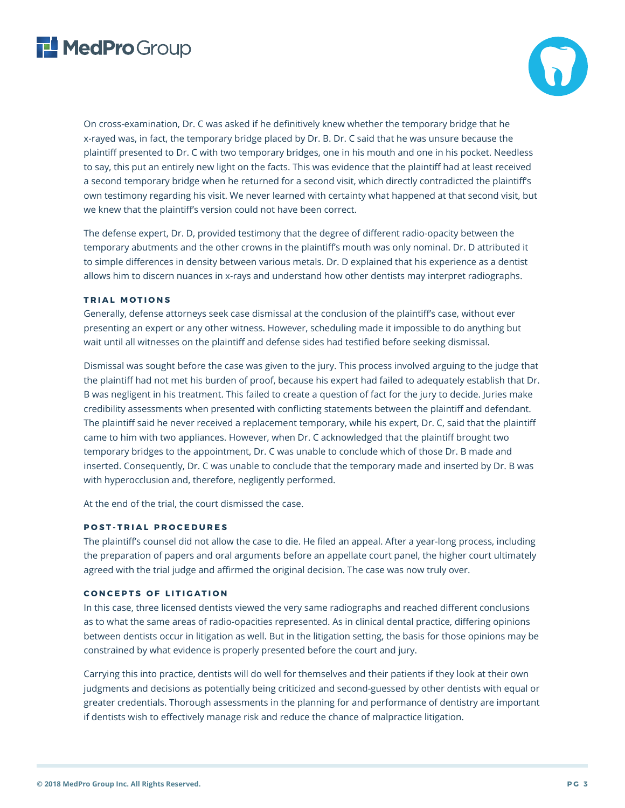



On cross-examination, Dr. C was asked if he definitively knew whether the temporary bridge that he x-rayed was, in fact, the temporary bridge placed by Dr. B. Dr. C said that he was unsure because the plaintiff presented to Dr. C with two temporary bridges, one in his mouth and one in his pocket. Needless to say, this put an entirely new light on the facts. This was evidence that the plaintiff had at least received a second temporary bridge when he returned for a second visit, which directly contradicted the plaintiff's own testimony regarding his visit. We never learned with certainty what happened at that second visit, but we knew that the plaintiff's version could not have been correct.

The defense expert, Dr. D, provided testimony that the degree of different radio-opacity between the temporary abutments and the other crowns in the plaintiff's mouth was only nominal. Dr. D attributed it to simple differences in density between various metals. Dr. D explained that his experience as a dentist allows him to discern nuances in x-rays and understand how other dentists may interpret radiographs.

#### **TRIAL MOTIONS**

Generally, defense attorneys seek case dismissal at the conclusion of the plaintiff's case, without ever presenting an expert or any other witness. However, scheduling made it impossible to do anything but wait until all witnesses on the plaintiff and defense sides had testified before seeking dismissal.

Dismissal was sought before the case was given to the jury. This process involved arguing to the judge that the plaintiff had not met his burden of proof, because his expert had failed to adequately establish that Dr. B was negligent in his treatment. This failed to create a question of fact for the jury to decide. Juries make credibility assessments when presented with conflicting statements between the plaintiff and defendant. The plaintiff said he never received a replacement temporary, while his expert, Dr. C, said that the plaintiff came to him with two appliances. However, when Dr. C acknowledged that the plaintiff brought two temporary bridges to the appointment, Dr. C was unable to conclude which of those Dr. B made and inserted. Consequently, Dr. C was unable to conclude that the temporary made and inserted by Dr. B was with hyperocclusion and, therefore, negligently performed.

At the end of the trial, the court dismissed the case.

# **POST-TRIAL PROCEDURES**

The plaintiff's counsel did not allow the case to die. He filed an appeal. After a year-long process, including the preparation of papers and oral arguments before an appellate court panel, the higher court ultimately agreed with the trial judge and affirmed the original decision. The case was now truly over.

# **CONCEPTS OF LITIGATION**

In this case, three licensed dentists viewed the very same radiographs and reached different conclusions as to what the same areas of radio-opacities represented. As in clinical dental practice, differing opinions between dentists occur in litigation as well. But in the litigation setting, the basis for those opinions may be constrained by what evidence is properly presented before the court and jury.

Carrying this into practice, dentists will do well for themselves and their patients if they look at their own judgments and decisions as potentially being criticized and second-guessed by other dentists with equal or greater credentials. Thorough assessments in the planning for and performance of dentistry are important if dentists wish to effectively manage risk and reduce the chance of malpractice litigation.